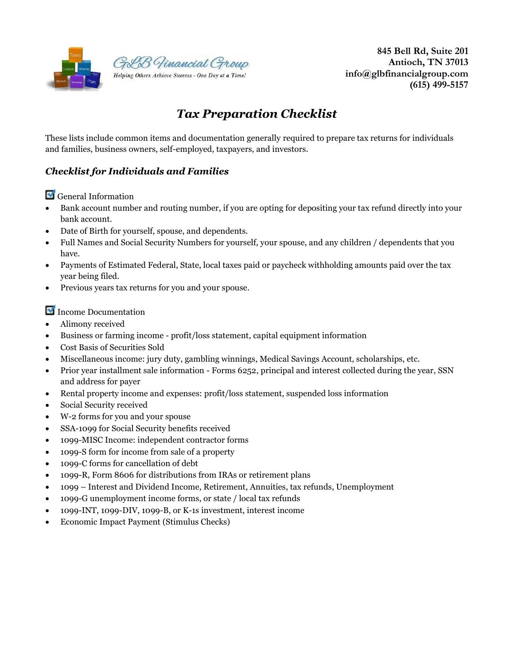

 **845 Bell Rd, Suite 201 Antioch, TN 37013 info@glbfinancialgroup.com (615) 499-5157** 

# *Tax Preparation Checklist*

These lists include common items and documentation generally required to prepare tax returns for individuals and families, business owners, self-employed, taxpayers, and investors.

## *Checklist for Individuals and Families*

General Information

- Bank account number and routing number, if you are opting for depositing your tax refund directly into your bank account.
- Date of Birth for yourself, spouse, and dependents.
- Full Names and Social Security Numbers for yourself, your spouse, and any children / dependents that you have.
- Payments of Estimated Federal, State, local taxes paid or paycheck withholding amounts paid over the tax year being filed.
- Previous years tax returns for you and your spouse.

Income Documentation

- Alimony received
- Business or farming income profit/loss statement, capital equipment information
- Cost Basis of Securities Sold
- Miscellaneous income: jury duty, gambling winnings, Medical Savings Account, scholarships, etc.
- Prior year installment sale information Forms 6252, principal and interest collected during the year, SSN and address for payer
- Rental property income and expenses: profit/loss statement, suspended loss information
- Social Security received
- W-2 forms for you and your spouse
- SSA-1099 for Social Security benefits received
- 1099-MISC Income: independent contractor forms
- 1099-S form for income from sale of a property
- 1099-C forms for cancellation of debt
- 1099-R, Form 8606 for distributions from IRAs or retirement plans
- 1099 Interest and Dividend Income, Retirement, Annuities, tax refunds, Unemployment
- 1099-G unemployment income forms, or state / local tax refunds
- 1099-INT, 1099-DIV, 1099-B, or K-1s investment, interest income
- Economic Impact Payment (Stimulus Checks)